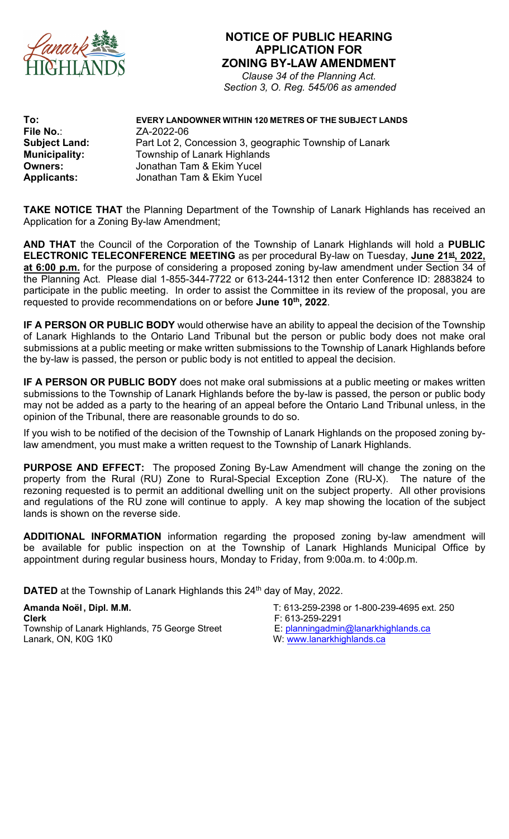

## **NOTICE OF PUBLIC HEARING APPLICATION FOR ZONING BY-LAW AMENDMENT**

*Clause 34 of the Planning Act. Section 3, O. Reg. 545/06 as amended*

File No.: ZA-2022-06<br> **Subject Land:** Part Lot 2, C **Municipality:** Township of Lanark Highlands **Owners: Communist Communist Communist Universel**<br> **Applicants:** Jonathan Tam & Ekim Yucel

## **To: EVERY LANDOWNER WITHIN 120 METRES OF THE SUBJECT LANDS** Part Lot 2, Concession 3, geographic Township of Lanark **Applicants:** Jonathan Tam & Ekim Yucel

**TAKE NOTICE THAT** the Planning Department of the Township of Lanark Highlands has received an Application for a Zoning By-law Amendment;

**AND THAT** the Council of the Corporation of the Township of Lanark Highlands will hold a **PUBLIC ELECTRONIC TELECONFERENCE MEETING** as per procedural By-law on Tuesday, **June 21st , 2022, at 6:00 p.m.** for the purpose of considering a proposed zoning by-law amendment under Section 34 of the Planning Act. Please dial 1-855-344-7722 or 613-244-1312 then enter Conference ID: 2883824 to participate in the public meeting. In order to assist the Committee in its review of the proposal, you are requested to provide recommendations on or before **June 10th , 2022**.

**IF A PERSON OR PUBLIC BODY** would otherwise have an ability to appeal the decision of the Township of Lanark Highlands to the Ontario Land Tribunal but the person or public body does not make oral submissions at a public meeting or make written submissions to the Township of Lanark Highlands before the by-law is passed, the person or public body is not entitled to appeal the decision.

**IF A PERSON OR PUBLIC BODY** does not make oral submissions at a public meeting or makes written submissions to the Township of Lanark Highlands before the by-law is passed, the person or public body may not be added as a party to the hearing of an appeal before the Ontario Land Tribunal unless, in the opinion of the Tribunal, there are reasonable grounds to do so.

If you wish to be notified of the decision of the Township of Lanark Highlands on the proposed zoning bylaw amendment, you must make a written request to the Township of Lanark Highlands.

**PURPOSE AND EFFECT:** The proposed Zoning By-Law Amendment will change the zoning on the property from the Rural (RU) Zone to Rural-Special Exception Zone (RU-X). The nature of the rezoning requested is to permit an additional dwelling unit on the subject property. All other provisions and regulations of the RU zone will continue to apply. A key map showing the location of the subject lands is shown on the reverse side.

**ADDITIONAL INFORMATION** information regarding the proposed zoning by-law amendment will be available for public inspection on at the Township of Lanark Highlands Municipal Office by appointment during regular business hours, Monday to Friday, from 9:00a.m. to 4:00p.m.

**DATED** at the Township of Lanark Highlands this 24<sup>th</sup> day of May, 2022.

**Amanda Noël , Dipl. M.M.** T: 613-259-2398 or 1-800-239-4695 ext. 250 **Clerk**<br>Township of Lanark Highlands, 75 George Street F: 613-259-2291<br>E: <u>planningadmin@lanarkhighlands.ca</u> Township of Lanark Highlands, 75 George Street<br>Lanark, ON, K0G 1K0

W: www.lanarkhighlands.ca